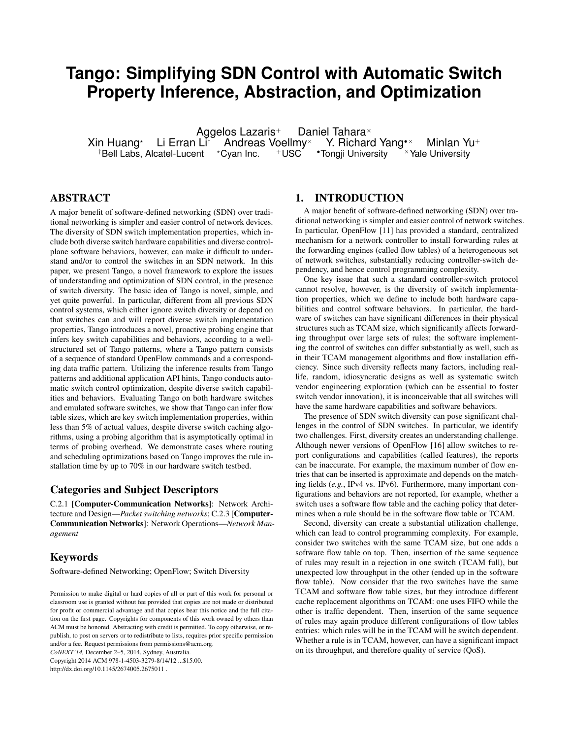# **Tango: Simplifying SDN Control with Automatic Switch Property Inference, Abstraction, and Optimization**

Aggelos Lazaris<sup>+</sup> Daniel Tahara<sup>×</sup><br><sup>×</sup> Li Erran Li<sup>†</sup> Andreas Voellmy<sup>×</sup> Y. Richard Yang Xin Huang\* Li Erran Li<sup>†</sup> Andreas Voellmy<sup>×</sup> Y. Richard Yang\*<sup>×</sup> Minlan Yu<sup>+</sup><br><sup>†</sup>Bell Labs, Alcatel-Lucent \*Cyan Inc. \*USC \*Tongji University \*Yale University  $\dagger$ Bell Labs, Alcatel-Lucent  $\star$ Cyan Inc.

## ABSTRACT

A major benefit of software-defined networking (SDN) over traditional networking is simpler and easier control of network devices. The diversity of SDN switch implementation properties, which include both diverse switch hardware capabilities and diverse controlplane software behaviors, however, can make it difficult to understand and/or to control the switches in an SDN network. In this paper, we present Tango, a novel framework to explore the issues of understanding and optimization of SDN control, in the presence of switch diversity. The basic idea of Tango is novel, simple, and yet quite powerful. In particular, different from all previous SDN control systems, which either ignore switch diversity or depend on that switches can and will report diverse switch implementation properties, Tango introduces a novel, proactive probing engine that infers key switch capabilities and behaviors, according to a wellstructured set of Tango patterns, where a Tango pattern consists of a sequence of standard OpenFlow commands and a corresponding data traffic pattern. Utilizing the inference results from Tango patterns and additional application API hints, Tango conducts automatic switch control optimization, despite diverse switch capabilities and behaviors. Evaluating Tango on both hardware switches and emulated software switches, we show that Tango can infer flow table sizes, which are key switch implementation properties, within less than 5% of actual values, despite diverse switch caching algorithms, using a probing algorithm that is asymptotically optimal in terms of probing overhead. We demonstrate cases where routing and scheduling optimizations based on Tango improves the rule installation time by up to 70% in our hardware switch testbed.

#### Categories and Subject Descriptors

C.2.1 [Computer-Communication Networks]: Network Architecture and Design—*Packet switching networks*; C.2.3 [Computer-Communication Networks]: Network Operations—*Network Management*

## Keywords

Software-defined Networking; OpenFlow; Switch Diversity

*CoNEXT'14,* December 2–5, 2014, Sydney, Australia. Copyright 2014 ACM 978-1-4503-3279-8/14/12 ...\$15.00.

http://dx.doi.org/10.1145/2674005.2675011 .

#### 1. INTRODUCTION

A major benefit of software-defined networking (SDN) over traditional networking is simpler and easier control of network switches. In particular, OpenFlow [11] has provided a standard, centralized mechanism for a network controller to install forwarding rules at the forwarding engines (called flow tables) of a heterogeneous set of network switches, substantially reducing controller-switch dependency, and hence control programming complexity.

One key issue that such a standard controller-switch protocol cannot resolve, however, is the diversity of switch implementation properties, which we define to include both hardware capabilities and control software behaviors. In particular, the hardware of switches can have significant differences in their physical structures such as TCAM size, which significantly affects forwarding throughput over large sets of rules; the software implementing the control of switches can differ substantially as well, such as in their TCAM management algorithms and flow installation efficiency. Since such diversity reflects many factors, including reallife, random, idiosyncratic designs as well as systematic switch vendor engineering exploration (which can be essential to foster switch vendor innovation), it is inconceivable that all switches will have the same hardware capabilities and software behaviors.

The presence of SDN switch diversity can pose significant challenges in the control of SDN switches. In particular, we identify two challenges. First, diversity creates an understanding challenge. Although newer versions of OpenFlow [16] allow switches to report configurations and capabilities (called features), the reports can be inaccurate. For example, the maximum number of flow entries that can be inserted is approximate and depends on the matching fields (*e.g.*, IPv4 vs. IPv6). Furthermore, many important configurations and behaviors are not reported, for example, whether a switch uses a software flow table and the caching policy that determines when a rule should be in the software flow table or TCAM.

Second, diversity can create a substantial utilization challenge, which can lead to control programming complexity. For example, consider two switches with the same TCAM size, but one adds a software flow table on top. Then, insertion of the same sequence of rules may result in a rejection in one switch (TCAM full), but unexpected low throughput in the other (ended up in the software flow table). Now consider that the two switches have the same TCAM and software flow table sizes, but they introduce different cache replacement algorithms on TCAM: one uses FIFO while the other is traffic dependent. Then, insertion of the same sequence of rules may again produce different configurations of flow tables entries: which rules will be in the TCAM will be switch dependent. Whether a rule is in TCAM, however, can have a significant impact on its throughput, and therefore quality of service (QoS).

Permission to make digital or hard copies of all or part of this work for personal or classroom use is granted without fee provided that copies are not made or distributed for profit or commercial advantage and that copies bear this notice and the full citation on the first page. Copyrights for components of this work owned by others than ACM must be honored. Abstracting with credit is permitted. To copy otherwise, or republish, to post on servers or to redistribute to lists, requires prior specific permission and/or a fee. Request permissions from permissions@acm.org.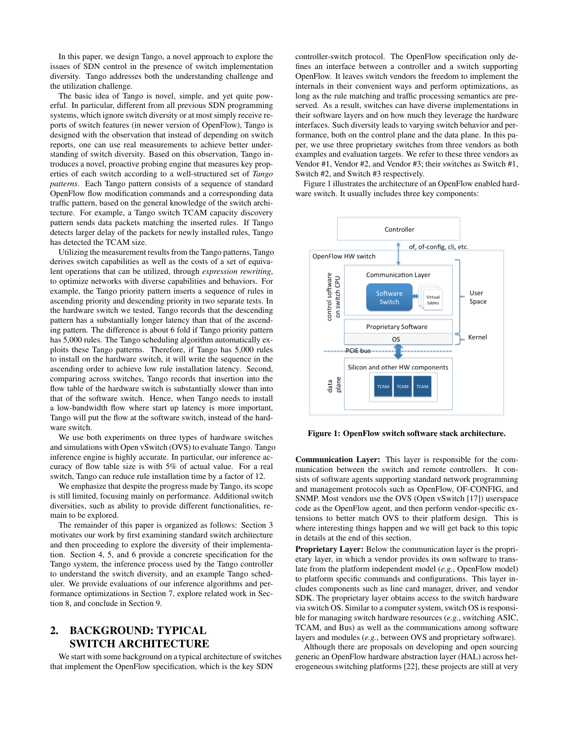In this paper, we design Tango, a novel approach to explore the issues of SDN control in the presence of switch implementation diversity. Tango addresses both the understanding challenge and the utilization challenge.

The basic idea of Tango is novel, simple, and yet quite powerful. In particular, different from all previous SDN programming systems, which ignore switch diversity or at most simply receive reports of switch features (in newer version of OpenFlow), Tango is designed with the observation that instead of depending on switch reports, one can use real measurements to achieve better understanding of switch diversity. Based on this observation, Tango introduces a novel, proactive probing engine that measures key properties of each switch according to a well-structured set of *Tango patterns*. Each Tango pattern consists of a sequence of standard OpenFlow flow modification commands and a corresponding data traffic pattern, based on the general knowledge of the switch architecture. For example, a Tango switch TCAM capacity discovery pattern sends data packets matching the inserted rules. If Tango detects larger delay of the packets for newly installed rules, Tango has detected the TCAM size.

Utilizing the measurement results from the Tango patterns, Tango derives switch capabilities as well as the costs of a set of equivalent operations that can be utilized, through *expression rewriting*, to optimize networks with diverse capabilities and behaviors. For example, the Tango priority pattern inserts a sequence of rules in ascending priority and descending priority in two separate tests. In the hardware switch we tested, Tango records that the descending pattern has a substantially longer latency than that of the ascending pattern. The difference is about 6 fold if Tango priority pattern has 5,000 rules. The Tango scheduling algorithm automatically exploits these Tango patterns. Therefore, if Tango has 5,000 rules to install on the hardware switch, it will write the sequence in the ascending order to achieve low rule installation latency. Second, comparing across switches, Tango records that insertion into the flow table of the hardware switch is substantially slower than into that of the software switch. Hence, when Tango needs to install a low-bandwidth flow where start up latency is more important, Tango will put the flow at the software switch, instead of the hardware switch.

We use both experiments on three types of hardware switches and simulations with Open vSwitch (OVS) to evaluate Tango. Tango inference engine is highly accurate. In particular, our inference accuracy of flow table size is with 5% of actual value. For a real switch, Tango can reduce rule installation time by a factor of 12.

We emphasize that despite the progress made by Tango, its scope is still limited, focusing mainly on performance. Additional switch diversities, such as ability to provide different functionalities, remain to be explored.

The remainder of this paper is organized as follows: Section 3 motivates our work by first examining standard switch architecture and then proceeding to explore the diversity of their implementation. Section 4, 5, and 6 provide a concrete specification for the Tango system, the inference process used by the Tango controller to understand the switch diversity, and an example Tango scheduler. We provide evaluations of our inference algorithms and performance optimizations in Section 7, explore related work in Section 8, and conclude in Section 9.

# 2. BACKGROUND: TYPICAL SWITCH ARCHITECTURE

We start with some background on a typical architecture of switches that implement the OpenFlow specification, which is the key SDN

controller-switch protocol. The OpenFlow specification only defines an interface between a controller and a switch supporting OpenFlow. It leaves switch vendors the freedom to implement the internals in their convenient ways and perform optimizations, as long as the rule matching and traffic processing semantics are preserved. As a result, switches can have diverse implementations in their software layers and on how much they leverage the hardware interfaces. Such diversity leads to varying switch behavior and performance, both on the control plane and the data plane. In this paper, we use three proprietary switches from three vendors as both examples and evaluation targets. We refer to these three vendors as Vendor #1, Vendor #2, and Vendor #3; their switches as Switch #1, Switch #2, and Switch #3 respectively.

Figure 1 illustrates the architecture of an OpenFlow enabled hardware switch. It usually includes three key components:



Figure 1: OpenFlow switch software stack architecture.

Communication Layer: This layer is responsible for the communication between the switch and remote controllers. It consists of software agents supporting standard network programming and management protocols such as OpenFlow, OF-CONFIG, and SNMP. Most vendors use the OVS (Open vSwitch [17]) userspace code as the OpenFlow agent, and then perform vendor-specific extensions to better match OVS to their platform design. This is where interesting things happen and we will get back to this topic in details at the end of this section.

Proprietary Layer: Below the communication layer is the proprietary layer, in which a vendor provides its own software to translate from the platform independent model (*e.g.*, OpenFlow model) to platform specific commands and configurations. This layer includes components such as line card manager, driver, and vendor SDK. The proprietary layer obtains access to the switch hardware via switch OS. Similar to a computer system, switch OS is responsible for managing switch hardware resources (*e.g.*, switching ASIC, TCAM, and Bus) as well as the communications among software layers and modules (*e.g.*, between OVS and proprietary software).

Although there are proposals on developing and open sourcing generic an OpenFlow hardware abstraction layer (HAL) across heterogeneous switching platforms [22], these projects are still at very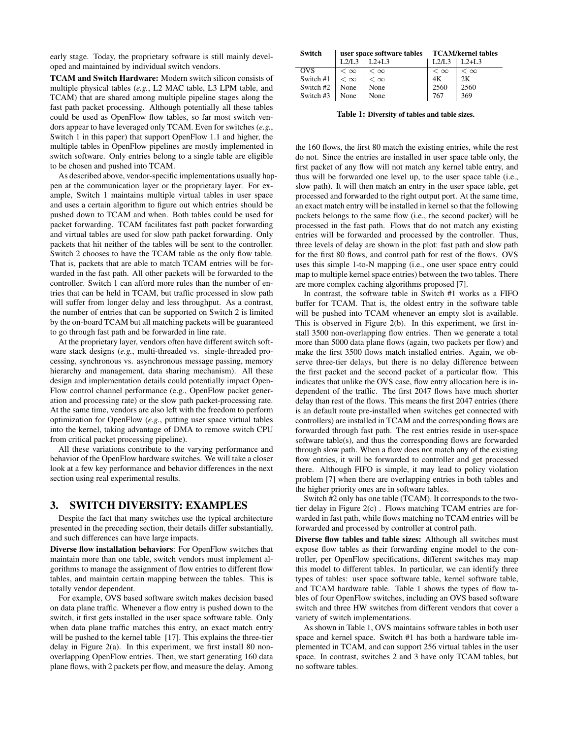early stage. Today, the proprietary software is still mainly developed and maintained by individual switch vendors.

TCAM and Switch Hardware: Modern switch silicon consists of multiple physical tables (*e.g.*, L2 MAC table, L3 LPM table, and TCAM) that are shared among multiple pipeline stages along the fast path packet processing. Although potentially all these tables could be used as OpenFlow flow tables, so far most switch vendors appear to have leveraged only TCAM. Even for switches (*e.g.*, Switch 1 in this paper) that support OpenFlow 1.1 and higher, the multiple tables in OpenFlow pipelines are mostly implemented in switch software. Only entries belong to a single table are eligible to be chosen and pushed into TCAM.

As described above, vendor-specific implementations usually happen at the communication layer or the proprietary layer. For example, Switch 1 maintains multiple virtual tables in user space and uses a certain algorithm to figure out which entries should be pushed down to TCAM and when. Both tables could be used for packet forwarding. TCAM facilitates fast path packet forwarding and virtual tables are used for slow path packet forwarding. Only packets that hit neither of the tables will be sent to the controller. Switch 2 chooses to have the TCAM table as the only flow table. That is, packets that are able to match TCAM entries will be forwarded in the fast path. All other packets will be forwarded to the controller. Switch 1 can afford more rules than the number of entries that can be held in TCAM, but traffic processed in slow path will suffer from longer delay and less throughput. As a contrast, the number of entries that can be supported on Switch 2 is limited by the on-board TCAM but all matching packets will be guaranteed to go through fast path and be forwarded in line rate.

At the proprietary layer, vendors often have different switch software stack designs (*e.g.*, multi-threaded vs. single-threaded processing, synchronous vs. asynchronous message passing, memory hierarchy and management, data sharing mechanism). All these design and implementation details could potentially impact Open-Flow control channel performance (e.g., OpenFlow packet generation and processing rate) or the slow path packet-processing rate. At the same time, vendors are also left with the freedom to perform optimization for OpenFlow (*e.g.*, putting user space virtual tables into the kernel, taking advantage of DMA to remove switch CPU from critical packet processing pipeline).

All these variations contribute to the varying performance and behavior of the OpenFlow hardware switches. We will take a closer look at a few key performance and behavior differences in the next section using real experimental results.

## 3. SWITCH DIVERSITY: EXAMPLES

Despite the fact that many switches use the typical architecture presented in the preceding section, their details differ substantially, and such differences can have large impacts.

Diverse flow installation behaviors: For OpenFlow switches that maintain more than one table, switch vendors must implement algorithms to manage the assignment of flow entries to different flow tables, and maintain certain mapping between the tables. This is totally vendor dependent.

For example, OVS based software switch makes decision based on data plane traffic. Whenever a flow entry is pushed down to the switch, it first gets installed in the user space software table. Only when data plane traffic matches this entry, an exact match entry will be pushed to the kernel table [17]. This explains the three-tier delay in Figure 2(a). In this experiment, we first install 80 nonoverlapping OpenFlow entries. Then, we start generating 160 data plane flows, with 2 packets per flow, and measure the delay. Among

| Switch     | user space software tables TCAM/kernel tables |           |           |           |
|------------|-----------------------------------------------|-----------|-----------|-----------|
|            | 1.2/I.3                                       | $L2+L3$   | 1.2/1.3   | $L2+L3$   |
| <b>OVS</b> | $<\infty$                                     | $<\infty$ | $<\infty$ | $<\infty$ |
| Switch #1  | $<\infty$                                     | $<\infty$ | 4K        | 2Κ        |
| Switch #2  | None                                          | None      | 2560      | 2560      |
| Switch #3  | None                                          | None      | 767       | 369       |

Table 1: Diversity of tables and table sizes.

the 160 flows, the first 80 match the existing entries, while the rest do not. Since the entries are installed in user space table only, the first packet of any flow will not match any kernel table entry, and thus will be forwarded one level up, to the user space table (i.e., slow path). It will then match an entry in the user space table, get processed and forwarded to the right output port. At the same time, an exact match entry will be installed in kernel so that the following packets belongs to the same flow (i.e., the second packet) will be processed in the fast path. Flows that do not match any existing entries will be forwarded and processed by the controller. Thus, three levels of delay are shown in the plot: fast path and slow path for the first 80 flows, and control path for rest of the flows. OVS uses this simple 1-to-N mapping (i.e., one user space entry could map to multiple kernel space entries) between the two tables. There are more complex caching algorithms proposed [7].

In contrast, the software table in Switch #1 works as a FIFO buffer for TCAM. That is, the oldest entry in the software table will be pushed into TCAM whenever an empty slot is available. This is observed in Figure 2(b). In this experiment, we first install 3500 non-overlapping flow entries. Then we generate a total more than 5000 data plane flows (again, two packets per flow) and make the first 3500 flows match installed entries. Again, we observe three-tier delays, but there is no delay difference between the first packet and the second packet of a particular flow. This indicates that unlike the OVS case, flow entry allocation here is independent of the traffic. The first 2047 flows have much shorter delay than rest of the flows. This means the first 2047 entries (there is an default route pre-installed when switches get connected with controllers) are installed in TCAM and the corresponding flows are forwarded through fast path. The rest entries reside in user-space software table(s), and thus the corresponding flows are forwarded through slow path. When a flow does not match any of the existing flow entries, it will be forwarded to controller and get processed there. Although FIFO is simple, it may lead to policy violation problem [7] when there are overlapping entries in both tables and the higher priority ones are in software tables.

Switch #2 only has one table (TCAM). It corresponds to the twotier delay in Figure 2(c) . Flows matching TCAM entries are forwarded in fast path, while flows matching no TCAM entries will be forwarded and processed by controller at control path.

Diverse flow tables and table sizes: Although all switches must expose flow tables as their forwarding engine model to the controller, per OpenFlow specifications, different switches may map this model to different tables. In particular, we can identify three types of tables: user space software table, kernel software table, and TCAM hardware table. Table 1 shows the types of flow tables of four OpenFlow switches, including an OVS based software switch and three HW switches from different vendors that cover a variety of switch implementations.

As shown in Table 1, OVS maintains software tables in both user space and kernel space. Switch #1 has both a hardware table implemented in TCAM, and can support 256 virtual tables in the user space. In contrast, switches 2 and 3 have only TCAM tables, but no software tables.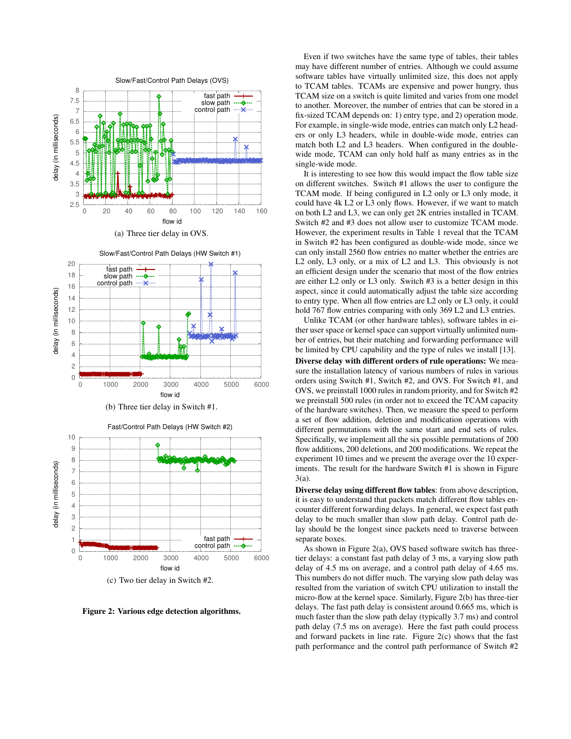





(b) Three tier delay in Switch #1.



Figure 2: Various edge detection algorithms.

Even if two switches have the same type of tables, their tables may have different number of entries. Although we could assume software tables have virtually unlimited size, this does not apply to TCAM tables. TCAMs are expensive and power hungry, thus TCAM size on a switch is quite limited and varies from one model to another. Moreover, the number of entries that can be stored in a fix-sized TCAM depends on: 1) entry type, and 2) operation mode. For example, in single-wide mode, entries can match only L2 headers or only L3 headers, while in double-wide mode, entries can match both L2 and L3 headers. When configured in the doublewide mode, TCAM can only hold half as many entries as in the single-wide mode.

It is interesting to see how this would impact the flow table size on different switches. Switch #1 allows the user to configure the TCAM mode. If being configured in L2 only or L3 only mode, it could have 4k L2 or L3 only flows. However, if we want to match on both L2 and L3, we can only get 2K entries installed in TCAM. Switch #2 and #3 does not allow user to customize TCAM mode. However, the experiment results in Table 1 reveal that the TCAM in Switch #2 has been configured as double-wide mode, since we can only install 2560 flow entries no matter whether the entries are L2 only, L3 only, or a mix of L2 and L3. This obviously is not an efficient design under the scenario that most of the flow entries are either L2 only or L3 only. Switch #3 is a better design in this aspect, since it could automatically adjust the table size according to entry type. When all flow entries are L2 only or L3 only, it could hold 767 flow entries comparing with only 369 L2 and L3 entries.

Unlike TCAM (or other hardware tables), software tables in either user space or kernel space can support virtually unlimited number of entries, but their matching and forwarding performance will be limited by CPU capability and the type of rules we install [13].

Diverse delay with different orders of rule operations: We measure the installation latency of various numbers of rules in various orders using Switch #1, Switch #2, and OVS. For Switch #1, and OVS, we preinstall 1000 rules in random priority, and for Switch #2 we preinstall 500 rules (in order not to exceed the TCAM capacity of the hardware switches). Then, we measure the speed to perform a set of flow addition, deletion and modification operations with different permutations with the same start and end sets of rules. Specifically, we implement all the six possible permutations of 200 flow additions, 200 deletions, and 200 modifications. We repeat the experiment 10 times and we present the average over the 10 experiments. The result for the hardware Switch #1 is shown in Figure 3(a).

Diverse delay using different flow tables: from above description, it is easy to understand that packets match different flow tables encounter different forwarding delays. In general, we expect fast path delay to be much smaller than slow path delay. Control path delay should be the longest since packets need to traverse between separate boxes.

As shown in Figure 2(a), OVS based software switch has threetier delays: a constant fast path delay of 3 ms, a varying slow path delay of 4.5 ms on average, and a control path delay of 4.65 ms. This numbers do not differ much. The varying slow path delay was resulted from the variation of switch CPU utilization to install the micro-flow at the kernel space. Similarly, Figure 2(b) has three-tier delays. The fast path delay is consistent around 0.665 ms, which is much faster than the slow path delay (typically 3.7 ms) and control path delay (7.5 ms on average). Here the fast path could process and forward packets in line rate. Figure 2(c) shows that the fast path performance and the control path performance of Switch #2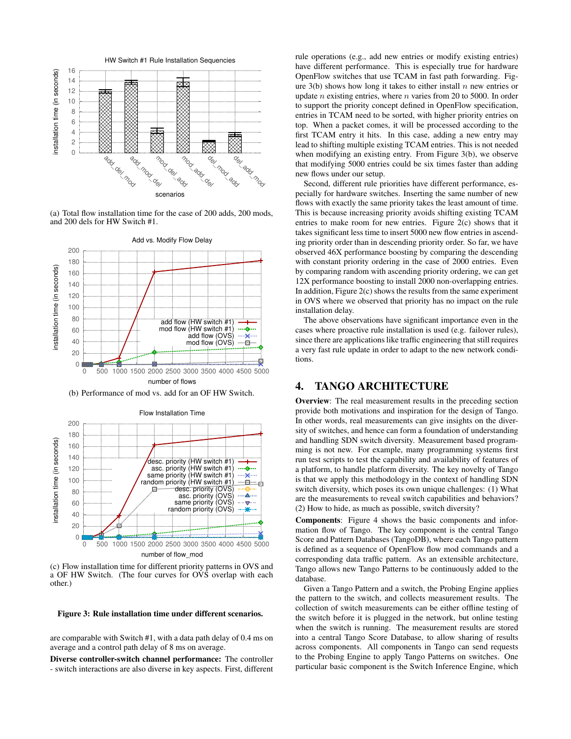

(a) Total flow installation time for the case of 200 adds, 200 mods, and 200 dels for HW Switch #1.



(b) Performance of mod vs. add for an OF HW Switch.



(c) Flow installation time for different priority patterns in OVS and a OF HW Switch. (The four curves for OVS overlap with each other.)

#### Figure 3: Rule installation time under different scenarios.

are comparable with Switch #1, with a data path delay of 0.4 ms on average and a control path delay of 8 ms on average.

Diverse controller-switch channel performance: The controller - switch interactions are also diverse in key aspects. First, different rule operations (e.g., add new entries or modify existing entries) have different performance. This is especially true for hardware OpenFlow switches that use TCAM in fast path forwarding. Figure  $3(b)$  shows how long it takes to either install n new entries or update *n* existing entries, where *n* varies from 20 to 5000. In order to support the priority concept defined in OpenFlow specification, entries in TCAM need to be sorted, with higher priority entries on top. When a packet comes, it will be processed according to the first TCAM entry it hits. In this case, adding a new entry may lead to shifting multiple existing TCAM entries. This is not needed when modifying an existing entry. From Figure 3(b), we observe that modifying 5000 entries could be six times faster than adding new flows under our setup.

Second, different rule priorities have different performance, especially for hardware switches. Inserting the same number of new flows with exactly the same priority takes the least amount of time. This is because increasing priority avoids shifting existing TCAM entries to make room for new entries. Figure 2(c) shows that it takes significant less time to insert 5000 new flow entries in ascending priority order than in descending priority order. So far, we have observed 46X performance boosting by comparing the descending with constant priority ordering in the case of 2000 entries. Even by comparing random with ascending priority ordering, we can get 12X performance boosting to install 2000 non-overlapping entries. In addition, Figure  $2(c)$  shows the results from the same experiment in OVS where we observed that priority has no impact on the rule installation delay.

The above observations have significant importance even in the cases where proactive rule installation is used (e.g. failover rules), since there are applications like traffic engineering that still requires a very fast rule update in order to adapt to the new network conditions.

## 4. TANGO ARCHITECTURE

Overview: The real measurement results in the preceding section provide both motivations and inspiration for the design of Tango. In other words, real measurements can give insights on the diversity of switches, and hence can form a foundation of understanding and handling SDN switch diversity. Measurement based programming is not new. For example, many programming systems first run test scripts to test the capability and availability of features of a platform, to handle platform diversity. The key novelty of Tango is that we apply this methodology in the context of handling SDN switch diversity, which poses its own unique challenges: (1) What are the measurements to reveal switch capabilities and behaviors? (2) How to hide, as much as possible, switch diversity?

Components: Figure 4 shows the basic components and information flow of Tango. The key component is the central Tango Score and Pattern Databases (TangoDB), where each Tango pattern is defined as a sequence of OpenFlow flow mod commands and a corresponding data traffic pattern. As an extensible architecture, Tango allows new Tango Patterns to be continuously added to the database.

Given a Tango Pattern and a switch, the Probing Engine applies the pattern to the switch, and collects measurement results. The collection of switch measurements can be either offline testing of the switch before it is plugged in the network, but online testing when the switch is running. The measurement results are stored into a central Tango Score Database, to allow sharing of results across components. All components in Tango can send requests to the Probing Engine to apply Tango Patterns on switches. One particular basic component is the Switch Inference Engine, which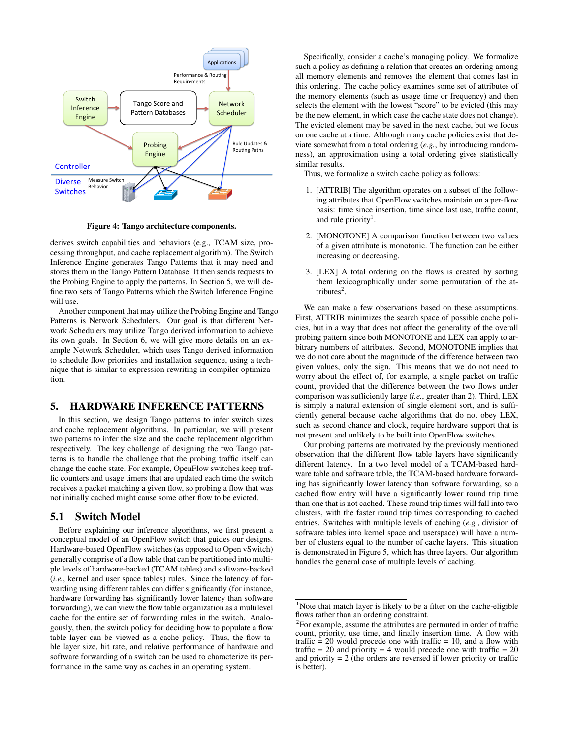

Figure 4: Tango architecture components.

derives switch capabilities and behaviors (e.g., TCAM size, processing throughput, and cache replacement algorithm). The Switch Inference Engine generates Tango Patterns that it may need and stores them in the Tango Pattern Database. It then sends requests to the Probing Engine to apply the patterns. In Section 5, we will define two sets of Tango Patterns which the Switch Inference Engine will use.

Another component that may utilize the Probing Engine and Tango Patterns is Network Schedulers. Our goal is that different Network Schedulers may utilize Tango derived information to achieve its own goals. In Section 6, we will give more details on an example Network Scheduler, which uses Tango derived information to schedule flow priorities and installation sequence, using a technique that is similar to expression rewriting in compiler optimization.

# 5. HARDWARE INFERENCE PATTERNS

In this section, we design Tango patterns to infer switch sizes and cache replacement algorithms. In particular, we will present two patterns to infer the size and the cache replacement algorithm respectively. The key challenge of designing the two Tango patterns is to handle the challenge that the probing traffic itself can change the cache state. For example, OpenFlow switches keep traffic counters and usage timers that are updated each time the switch receives a packet matching a given flow, so probing a flow that was not initially cached might cause some other flow to be evicted.

## 5.1 Switch Model

Before explaining our inference algorithms, we first present a conceptual model of an OpenFlow switch that guides our designs. Hardware-based OpenFlow switches (as opposed to Open vSwitch) generally comprise of a flow table that can be partitioned into multiple levels of hardware-backed (TCAM tables) and software-backed (*i.e.*, kernel and user space tables) rules. Since the latency of forwarding using different tables can differ significantly (for instance, hardware forwarding has significantly lower latency than software forwarding), we can view the flow table organization as a multilevel cache for the entire set of forwarding rules in the switch. Analogously, then, the switch policy for deciding how to populate a flow table layer can be viewed as a cache policy. Thus, the flow table layer size, hit rate, and relative performance of hardware and software forwarding of a switch can be used to characterize its performance in the same way as caches in an operating system.

Specifically, consider a cache's managing policy. We formalize such a policy as defining a relation that creates an ordering among all memory elements and removes the element that comes last in this ordering. The cache policy examines some set of attributes of the memory elements (such as usage time or frequency) and then selects the element with the lowest "score" to be evicted (this may be the new element, in which case the cache state does not change). The evicted element may be saved in the next cache, but we focus on one cache at a time. Although many cache policies exist that deviate somewhat from a total ordering (*e.g.*, by introducing randomness), an approximation using a total ordering gives statistically similar results.

Thus, we formalize a switch cache policy as follows:

- 1. [ATTRIB] The algorithm operates on a subset of the following attributes that OpenFlow switches maintain on a per-flow basis: time since insertion, time since last use, traffic count, and rule priority<sup>1</sup>.
- 2. [MONOTONE] A comparison function between two values of a given attribute is monotonic. The function can be either increasing or decreasing.
- 3. [LEX] A total ordering on the flows is created by sorting them lexicographically under some permutation of the attributes<sup>2</sup>.

We can make a few observations based on these assumptions. First, ATTRIB minimizes the search space of possible cache policies, but in a way that does not affect the generality of the overall probing pattern since both MONOTONE and LEX can apply to arbitrary numbers of attributes. Second, MONOTONE implies that we do not care about the magnitude of the difference between two given values, only the sign. This means that we do not need to worry about the effect of, for example, a single packet on traffic count, provided that the difference between the two flows under comparison was sufficiently large (*i.e.*, greater than 2). Third, LEX is simply a natural extension of single element sort, and is sufficiently general because cache algorithms that do not obey LEX, such as second chance and clock, require hardware support that is not present and unlikely to be built into OpenFlow switches.

Our probing patterns are motivated by the previously mentioned observation that the different flow table layers have significantly different latency. In a two level model of a TCAM-based hardware table and software table, the TCAM-based hardware forwarding has significantly lower latency than software forwarding, so a cached flow entry will have a significantly lower round trip time than one that is not cached. These round trip times will fall into two clusters, with the faster round trip times corresponding to cached entries. Switches with multiple levels of caching (*e.g.*, division of software tables into kernel space and userspace) will have a number of clusters equal to the number of cache layers. This situation is demonstrated in Figure 5, which has three layers. Our algorithm handles the general case of multiple levels of caching.

 $1$ Note that match layer is likely to be a filter on the cache-eligible flows rather than an ordering constraint.

 $2$ For example, assume the attributes are permuted in order of traffic count, priority, use time, and finally insertion time. A flow with traffic  $= 20$  would precede one with traffic  $= 10$ , and a flow with traffic  $= 20$  and priority  $= 4$  would precede one with traffic  $= 20$ and priority  $= 2$  (the orders are reversed if lower priority or traffic is better).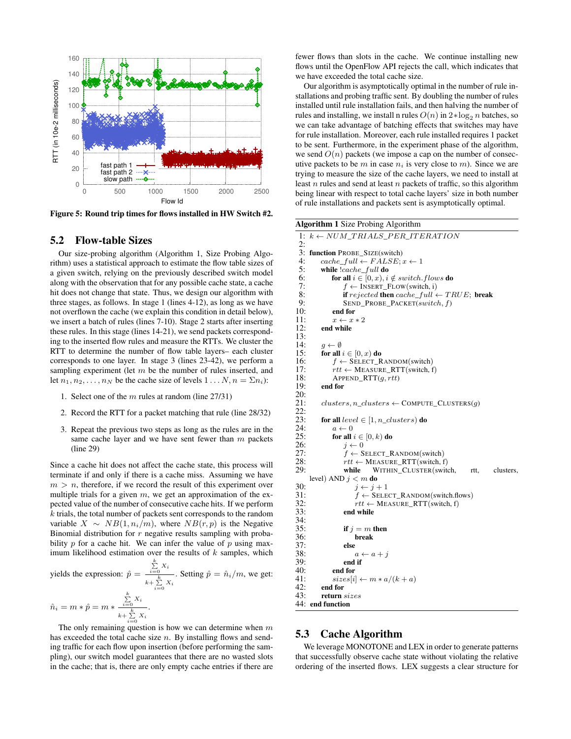

Figure 5: Round trip times for flows installed in HW Switch #2.

#### 5.2 Flow-table Sizes

Our size-probing algorithm (Algorithm 1, Size Probing Algorithm) uses a statistical approach to estimate the flow table sizes of a given switch, relying on the previously described switch model along with the observation that for any possible cache state, a cache hit does not change that state. Thus, we design our algorithm with three stages, as follows. In stage 1 (lines 4-12), as long as we have not overflown the cache (we explain this condition in detail below), we insert a batch of rules (lines 7-10). Stage 2 starts after inserting these rules. In this stage (lines 14-21), we send packets corresponding to the inserted flow rules and measure the RTTs. We cluster the RTT to determine the number of flow table layers– each cluster corresponds to one layer. In stage 3 (lines 23-42), we perform a sampling experiment (let  $m$  be the number of rules inserted, and let  $n_1, n_2, \ldots, n_N$  be the cache size of levels  $1 \ldots N, n = \sum n_i$ :

- 1. Select one of the  $m$  rules at random (line 27/31)
- 2. Record the RTT for a packet matching that rule (line 28/32)
- 3. Repeat the previous two steps as long as the rules are in the same cache layer and we have sent fewer than  $m$  packets (line 29)

Since a cache hit does not affect the cache state, this process will terminate if and only if there is a cache miss. Assuming we have  $m > n$ , therefore, if we record the result of this experiment over multiple trials for a given  $m$ , we get an approximation of the expected value of the number of consecutive cache hits. If we perform  $k$  trials, the total number of packets sent corresponds to the random variable  $X \sim NB(1, n_i/m)$ , where  $NB(r, p)$  is the Negative Binomial distribution for  $r$  negative results sampling with probability  $p$  for a cache hit. We can infer the value of  $p$  using maximum likelihood estimation over the results of  $k$  samples, which

yields the expression: 
$$
\hat{p} = \frac{\sum_{i=0}^{k} X_i}{k + \sum_{i=0}^{k} X_i}
$$
. Setting  $\hat{p} = \hat{n}_i/m$ , we get:  

$$
\hat{n}_i = m * \hat{p} = m * \frac{\sum_{i=0}^{k} X_i}{k + \sum_{i=0}^{k} X_i}.
$$

The only remaining question is how we can determine when  $m$ has exceeded the total cache size  $n$ . By installing flows and sending traffic for each flow upon insertion (before performing the sampling), our switch model guarantees that there are no wasted slots in the cache; that is, there are only empty cache entries if there are

fewer flows than slots in the cache. We continue installing new flows until the OpenFlow API rejects the call, which indicates that we have exceeded the total cache size.

Our algorithm is asymptotically optimal in the number of rule installations and probing traffic sent. By doubling the number of rules installed until rule installation fails, and then halving the number of rules and installing, we install n rules  $O(n)$  in  $2 * log_2 n$  batches, so we can take advantage of batching effects that switches may have for rule installation. Moreover, each rule installed requires 1 packet to be sent. Furthermore, in the experiment phase of the algorithm, we send  $O(n)$  packets (we impose a cap on the number of consecutive packets to be m in case  $n_i$  is very close to m). Since we are trying to measure the size of the cache layers, we need to install at least  $n$  rules and send at least  $n$  packets of traffic, so this algorithm being linear with respect to total cache layers' size in both number of rule installations and packets sent is asymptotically optimal.

Algorithm 1 Size Probing Algorithm

|          | 1: $k \leftarrow NUM\_TRIALS\_PER\_ITERATION$          |
|----------|--------------------------------------------------------|
| 2:<br>3: |                                                        |
| 4:       | function PROBE_SIZE(switch)                            |
| 5:       | $cache\_full \leftarrow FALSE; x \leftarrow 1$         |
| 6:       | while $!cache\_full$ do                                |
| 7:       | for all $i \in [0, x), i \notin switch. flows$ do      |
| 8:       | $f \leftarrow$ INSERT_FLOW(switch, i)                  |
|          | if rejected then cache_full $\leftarrow TRUE$ ; break  |
| 9:       | $SEND$ PROBE PACKET $(switch, f)$                      |
| 10:      | end for                                                |
| 11:      | $x \leftarrow x * 2$                                   |
| 12:      | end while                                              |
| 13:      |                                                        |
| 14:      | $q \leftarrow \emptyset$                               |
| 15:      | for all $i \in [0, x)$ do                              |
| 16:      | $f \leftarrow$ SELECT_RANDOM(switch)                   |
| 17:      | $rtt \leftarrow \text{MEASURE\_RTT}(\text{switch}, f)$ |
| 18:      | $APPEND_RTT(q, rtt)$                                   |
| 19:      | end for                                                |
| 20:      |                                                        |
| 21:      | $clusters, n\_clusters \leftarrow$ COMPUTE_CLUSTERS(q) |
| 22:      |                                                        |
| 23:      | for all $level \in [1, n\_clusters)$ do                |
| 24:      | $a \leftarrow 0$                                       |
| 25:      | for all $i \in [0, k)$ do                              |
| 26:      | $i \leftarrow 0$                                       |
| 27:      | $f \leftarrow$ SELECT_RANDOM(switch)                   |
| 28:      | $rtt \leftarrow \text{MEASURE\_RTT}(\text{switch}, f)$ |
| 29:      | WITHIN_CLUSTER(switch,<br>while<br>clusters,<br>rtt,   |
|          | level) AND $j < m$ do                                  |
| 30:      | $j \leftarrow j+1$                                     |
| 31:      | $f \leftarrow$ SELECT_RANDOM(switch.flows)             |
| 32:      | $rtt \leftarrow \text{MEASURE\_RTT}(\text{switch}, f)$ |
| 33:      | end while                                              |
| 34:      |                                                        |
| 35:      | if $j = m$ then                                        |
| 36:      | break                                                  |
| 37:      | else                                                   |
| 38:      | $a \leftarrow a + j$                                   |
| 39:      | end if                                                 |
| 40:      | end for                                                |
| 41:      | $sizes[i] \leftarrow m * a/(k+a)$                      |
| 42:      | end for                                                |
| 43:      | return sizes                                           |
| 44:      | end function                                           |

# 5.3 Cache Algorithm

We leverage MONOTONE and LEX in order to generate patterns that successfully observe cache state without violating the relative ordering of the inserted flows. LEX suggests a clear structure for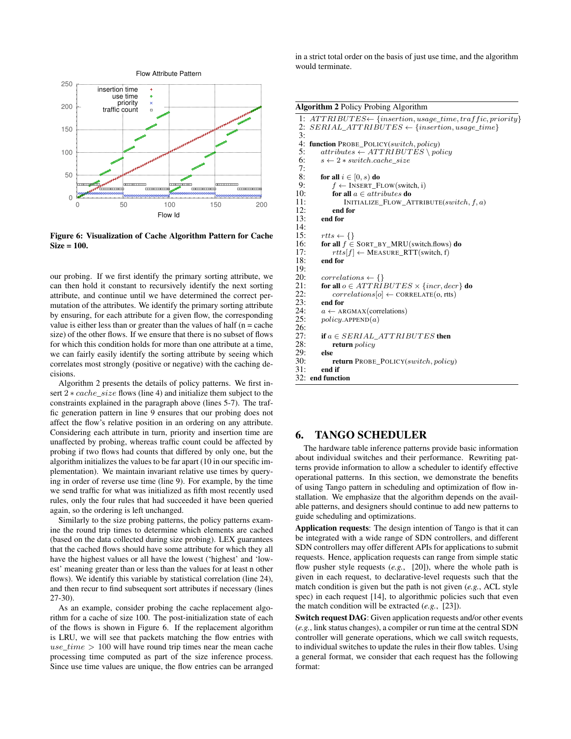

Figure 6: Visualization of Cache Algorithm Pattern for Cache  $Size = 100$ .

our probing. If we first identify the primary sorting attribute, we can then hold it constant to recursively identify the next sorting attribute, and continue until we have determined the correct permutation of the attributes. We identify the primary sorting attribute by ensuring, for each attribute for a given flow, the corresponding value is either less than or greater than the values of half  $(n = cache)$ size) of the other flows. If we ensure that there is no subset of flows for which this condition holds for more than one attribute at a time, we can fairly easily identify the sorting attribute by seeing which correlates most strongly (positive or negative) with the caching decisions.

Algorithm 2 presents the details of policy patterns. We first insert 2 ∗ *cache\_size* flows (line 4) and initialize them subject to the constraints explained in the paragraph above (lines 5-7). The traffic generation pattern in line 9 ensures that our probing does not affect the flow's relative position in an ordering on any attribute. Considering each attribute in turn, priority and insertion time are unaffected by probing, whereas traffic count could be affected by probing if two flows had counts that differed by only one, but the algorithm initializes the values to be far apart (10 in our specific implementation). We maintain invariant relative use times by querying in order of reverse use time (line 9). For example, by the time we send traffic for what was initialized as fifth most recently used rules, only the four rules that had succeeded it have been queried again, so the ordering is left unchanged.

Similarly to the size probing patterns, the policy patterns examine the round trip times to determine which elements are cached (based on the data collected during size probing). LEX guarantees that the cached flows should have some attribute for which they all have the highest values or all have the lowest ('highest' and 'lowest' meaning greater than or less than the values for at least n other flows). We identify this variable by statistical correlation (line 24), and then recur to find subsequent sort attributes if necessary (lines 27-30).

As an example, consider probing the cache replacement algorithm for a cache of size 100. The post-initialization state of each of the flows is shown in Figure 6. If the replacement algorithm is LRU, we will see that packets matching the flow entries with  $use\_time > 100$  will have round trip times near the mean cache processing time computed as part of the size inference process. Since use time values are unique, the flow entries can be arranged in a strict total order on the basis of just use time, and the algorithm would terminate.

Algorithm 2 Policy Probing Algorithm

```
1: ATTRIBUTES \leftarrow \{insertion, usage\_time, traffic, priority\}<br>2: SERIAL, ATTRIBUTES \leftarrow \{insertion, usage\_time\}SERIAL\_ATTRIBUTES \leftarrow \{insertion, usage\_time\}\frac{3:}{4:}4: function PROBE_POLICY(switch, policy)<br>5: atributes \leftarrow ATTRIBUTES \setminus pol5: attributes \leftarrow ATTRIBUTES \policy<br>6: s \leftarrow 2 * switch.cache\_sizes \leftarrow 2 * switch.cache\_size7:8:8: for all i \in [0, s) do<br>9: f \leftarrow \text{INSERT F}9: f \leftarrow \text{INSERT\_Flow}(\text{switch}, i)<br>10: for all a \in attributes \textbf{do}10: for all a \in attributes \textbf{do}<br>11: INITIALIZE FLOW A
                        INITALIZE<sub>_FLOW_ATTRIBUTE</sub>(switch, f, a)
12: end for<br>13: end for
             end for
\frac{14}{15}:
15: rtts \leftarrow \{\}<br>16: for all f \infor all f \in SORT_BY_MRU(switch.flows) do
17: rtts[f] \leftarrow \text{MEASURE\_RTT}(\text{switch}, f)<br>18: end for
             end for
19:
20: correlations \leftarrow \{\}<br>21: for all o \in ATTRI21: for all o \in ATTRIBUTES \times \{incr, dec\} do<br>22: correlations [o] \leftarrow \text{CORRELATE}(o, trts)22: correlations[o] \leftarrow CORRELATE(o, rtts)<br>23: end for
23: end for<br>24: a \leftarrow \text{Al}24: a \leftarrow \text{ARGMAX}(\text{correlations})<br>25: policy \text{APPEND}(a)policy.APPEND(a)26:27:27: if a \in SERIAL\_ATTRIBUTES then<br>28: return policy
                  return policy
29: else
30: return PROBE_POLICY(switch, policy)<br>31: end if
             end if
32: end function
```
# 6. TANGO SCHEDULER

The hardware table inference patterns provide basic information about individual switches and their performance. Rewriting patterns provide information to allow a scheduler to identify effective operational patterns. In this section, we demonstrate the benefits of using Tango pattern in scheduling and optimization of flow installation. We emphasize that the algorithm depends on the available patterns, and designers should continue to add new patterns to guide scheduling and optimizations.

Application requests: The design intention of Tango is that it can be integrated with a wide range of SDN controllers, and different SDN controllers may offer different APIs for applications to submit requests. Hence, application requests can range from simple static flow pusher style requests (*e.g.*, [20]), where the whole path is given in each request, to declarative-level requests such that the match condition is given but the path is not given (*e.g.*, ACL style spec) in each request [14], to algorithmic policies such that even the match condition will be extracted (*e.g.*, [23]).

Switch request DAG: Given application requests and/or other events (*e.g.*, link status changes), a compiler or run time at the central SDN controller will generate operations, which we call switch requests, to individual switches to update the rules in their flow tables. Using a general format, we consider that each request has the following format: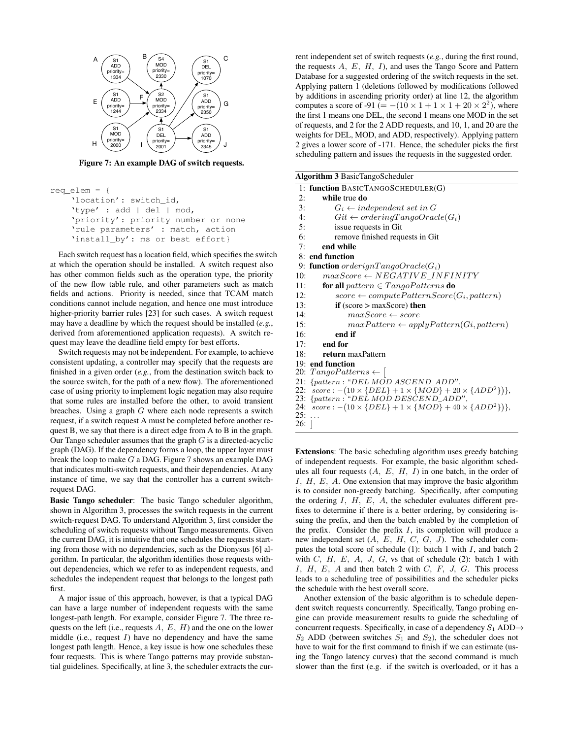

Figure 7: An example DAG of switch requests.

```
req_elem = {
    'location': switch_id,
    'type' : add | del | mod,
    'priority': priority number or none
    'rule parameters' : match, action
    'install by': ms or best effort}
```
Each switch request has a location field, which specifies the switch at which the operation should be installed. A switch request also has other common fields such as the operation type, the priority of the new flow table rule, and other parameters such as match fields and actions. Priority is needed, since that TCAM match conditions cannot include negation, and hence one must introduce higher-priority barrier rules [23] for such cases. A switch request may have a deadline by which the request should be installed (*e.g.*, derived from aforementioned application requests). A switch request may leave the deadline field empty for best efforts.

Switch requests may not be independent. For example, to achieve consistent updating, a controller may specify that the requests are finished in a given order (*e.g.*, from the destination switch back to the source switch, for the path of a new flow). The aforementioned case of using priority to implement logic negation may also require that some rules are installed before the other, to avoid transient breaches. Using a graph  $G$  where each node represents a switch request, if a switch request A must be completed before another request B, we say that there is a direct edge from A to B in the graph. Our Tango scheduler assumes that the graph  $G$  is a directed-acyclic graph (DAG). If the dependency forms a loop, the upper layer must break the loop to make  $G$  a DAG. Figure 7 shows an example DAG that indicates multi-switch requests, and their dependencies. At any instance of time, we say that the controller has a current switchrequest DAG.

Basic Tango scheduler: The basic Tango scheduler algorithm, shown in Algorithm 3, processes the switch requests in the current switch-request DAG. To understand Algorithm 3, first consider the scheduling of switch requests without Tango measurements. Given the current DAG, it is intuitive that one schedules the requests starting from those with no dependencies, such as the Dionysus [6] algorithm. In particular, the algorithm identifies those requests without dependencies, which we refer to as independent requests, and schedules the independent request that belongs to the longest path first.

A major issue of this approach, however, is that a typical DAG can have a large number of independent requests with the same longest-path length. For example, consider Figure 7. The three requests on the left (i.e., requests  $A, E, H$ ) and the one on the lower middle (i.e., request  $I$ ) have no dependency and have the same longest path length. Hence, a key issue is how one schedules these four requests. This is where Tango patterns may provide substantial guidelines. Specifically, at line 3, the scheduler extracts the current independent set of switch requests (*e.g.*, during the first round, the requests  $A, E, H, I$ , and uses the Tango Score and Pattern Database for a suggested ordering of the switch requests in the set. Applying pattern 1 (deletions followed by modifications followed by additions in ascending priority order) at line 12, the algorithm computes a score of -91 (=  $-(10 \times 1 + 1 \times 1 + 20 \times 2^2)$ , where the first 1 means one DEL, the second 1 means one MOD in the set of requests, and 2 for the 2 ADD requests, and 10, 1, and 20 are the weights for DEL, MOD, and ADD, respectively). Applying pattern 2 gives a lower score of -171. Hence, the scheduler picks the first scheduling pattern and issues the requests in the suggested order.

|     | <b>Algorithm 3 BasicTangoScheduler</b>                                 |
|-----|------------------------------------------------------------------------|
|     | 1: function BASICTANGOSCHEDULER(G)                                     |
| 2:  | while true do                                                          |
| 3:  | $G_i \leftarrow independent \ set \ in \ G$                            |
| 4:  | $Git \leftarrow orderingTangoOracle(G_i)$                              |
| 5:  | issue requests in Git                                                  |
| 6:  | remove finished requests in Git                                        |
| 7:  | end while                                                              |
|     | 8: end function                                                        |
|     | 9: function orderignTangoOracle( $G_i$ )                               |
| 10: | $maxScore \leftarrow NEGATIVE\ INFINITY$                               |
| 11: | for all pattern $\in Tango Patterns$ do                                |
| 12: | $score \leftarrow computePatternScore(G_i, pattern)$                   |
| 13: | if (score $>$ maxScore) then                                           |
| 14: | $maxScore \leftarrow score$                                            |
| 15: | $maxPattern \leftarrow applyPattern(Gi, pattern)$                      |
| 16: | end if                                                                 |
| 17: | end for                                                                |
| 18: | return maxPattern                                                      |
|     | 19: end function                                                       |
|     | 20: $TangoPatters \leftarrow$                                          |
|     | 21: {pattern: "DEL MOD ASCEND_ADD",                                    |
| 22: | $score: -(10 \times \{DEL\} + 1 \times \{MOD\} + 20 \times \{ADD^2\})$ |
| 23: | {pattern: "DEL MOD DESCEND_ADD",                                       |

23:  $\{pattern : "DEL MOD DESCEND$ <br>24:  $score : -(10 \times DELL) + 1 \times 1 MODD$ 24:  $score: -(10 \times \{DEL\} + 1 \times \{MOD\} + 40 \times \{ADD^2\})$ ,

},

```
25:
```
26:

Extensions: The basic scheduling algorithm uses greedy batching of independent requests. For example, the basic algorithm schedules all four requests  $(A, E, H, I)$  in one batch, in the order of  $I, H, E, A$ . One extension that may improve the basic algorithm is to consider non-greedy batching. Specifically, after computing the ordering  $I$ ,  $H$ ,  $E$ ,  $A$ , the scheduler evaluates different prefixes to determine if there is a better ordering, by considering issuing the prefix, and then the batch enabled by the completion of the prefix. Consider the prefix  $I$ , its completion will produce a new independent set  $(A, E, H, C, G, J)$ . The scheduler computes the total score of schedule  $(1)$ : batch 1 with I, and batch 2 with  $C$ ,  $H$ ,  $E$ ,  $A$ ,  $J$ ,  $G$ , vs that of schedule (2): batch 1 with  $I, H, E, A$  and then batch 2 with  $C, F, J, G$ . This process leads to a scheduling tree of possibilities and the scheduler picks the schedule with the best overall score.

Another extension of the basic algorithm is to schedule dependent switch requests concurrently. Specifically, Tango probing engine can provide measurement results to guide the scheduling of concurrent requests. Specifically, in case of a dependency  $S_1$  ADD $\rightarrow$  $S_2$  ADD (between switches  $S_1$  and  $S_2$ ), the scheduler does not have to wait for the first command to finish if we can estimate (using the Tango latency curves) that the second command is much slower than the first (e.g. if the switch is overloaded, or it has a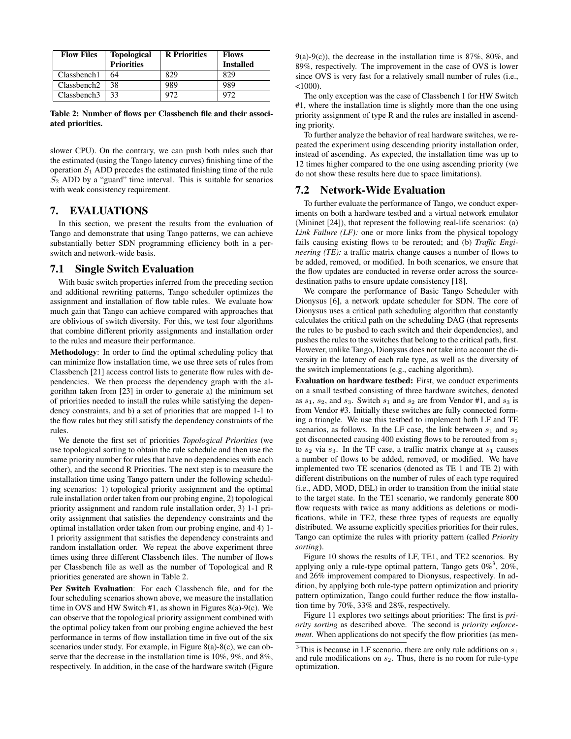| <b>Flow Files</b>       | <b>Topological</b> | <b>R</b> Priorities | <b>Flows</b>     |
|-------------------------|--------------------|---------------------|------------------|
|                         | <b>Priorities</b>  |                     | <b>Installed</b> |
| Classbench1             | 64                 | 829                 | 829              |
| Classbench <sub>2</sub> | 38                 | 989                 | 989              |
| Classbench <sub>3</sub> | 33                 | 972                 | 972              |

Table 2: Number of flows per Classbench file and their associated priorities.

slower CPU). On the contrary, we can push both rules such that the estimated (using the Tango latency curves) finishing time of the operation  $S_1$  ADD precedes the estimated finishing time of the rule  $S_2$  ADD by a "guard" time interval. This is suitable for senarios with weak consistency requirement.

# 7. EVALUATIONS

In this section, we present the results from the evaluation of Tango and demonstrate that using Tango patterns, we can achieve substantially better SDN programming efficiency both in a perswitch and network-wide basis.

#### 7.1 Single Switch Evaluation

With basic switch properties inferred from the preceding section and additional rewriting patterns, Tango scheduler optimizes the assignment and installation of flow table rules. We evaluate how much gain that Tango can achieve compared with approaches that are oblivious of switch diversity. For this, we test four algorithms that combine different priority assignments and installation order to the rules and measure their performance.

Methodology: In order to find the optimal scheduling policy that can minimize flow installation time, we use three sets of rules from Classbench [21] access control lists to generate flow rules with dependencies. We then process the dependency graph with the algorithm taken from [23] in order to generate a) the minimum set of priorities needed to install the rules while satisfying the dependency constraints, and b) a set of priorities that are mapped 1-1 to the flow rules but they still satisfy the dependency constraints of the rules.

We denote the first set of priorities *Topological Priorities* (we use topological sorting to obtain the rule schedule and then use the same priority number for rules that have no dependencies with each other), and the second R Priorities. The next step is to measure the installation time using Tango pattern under the following scheduling scenarios: 1) topological priority assignment and the optimal rule installation order taken from our probing engine, 2) topological priority assignment and random rule installation order, 3) 1-1 priority assignment that satisfies the dependency constraints and the optimal installation order taken from our probing engine, and 4) 1- 1 priority assignment that satisfies the dependency constraints and random installation order. We repeat the above experiment three times using three different Classbench files. The number of flows per Classbench file as well as the number of Topological and R priorities generated are shown in Table 2.

Per Switch Evaluation: For each Classbench file, and for the four scheduling scenarios shown above, we measure the installation time in OVS and HW Switch #1, as shown in Figures 8(a)-9(c). We can observe that the topological priority assignment combined with the optimal policy taken from our probing engine achieved the best performance in terms of flow installation time in five out of the six scenarios under study. For example, in Figure 8(a)-8(c), we can observe that the decrease in the installation time is 10%, 9%, and 8%, respectively. In addition, in the case of the hardware switch (Figure

 $9(a)-9(c)$ , the decrease in the installation time is 87%, 80%, and 89%, respectively. The improvement in the case of OVS is lower since OVS is very fast for a relatively small number of rules (i.e.,  $<1000$ ).

The only exception was the case of Classbench 1 for HW Switch #1, where the installation time is slightly more than the one using priority assignment of type R and the rules are installed in ascending priority.

To further analyze the behavior of real hardware switches, we repeated the experiment using descending priority installation order, instead of ascending. As expected, the installation time was up to 12 times higher compared to the one using ascending priority (we do not show these results here due to space limitations).

## 7.2 Network-Wide Evaluation

To further evaluate the performance of Tango, we conduct experiments on both a hardware testbed and a virtual network emulator (Mininet [24]), that represent the following real-life scenarios: (a) *Link Failure (LF):* one or more links from the physical topology fails causing existing flows to be rerouted; and (b) *Traffic Engineering (TE):* a traffic matrix change causes a number of flows to be added, removed, or modified. In both scenarios, we ensure that the flow updates are conducted in reverse order across the sourcedestination paths to ensure update consistency [18].

We compare the performance of Basic Tango Scheduler with Dionysus [6], a network update scheduler for SDN. The core of Dionysus uses a critical path scheduling algorithm that constantly calculates the critical path on the scheduling DAG (that represents the rules to be pushed to each switch and their dependencies), and pushes the rules to the switches that belong to the critical path, first. However, unlike Tango, Dionysus does not take into account the diversity in the latency of each rule type, as well as the diversity of the switch implementations (e.g., caching algorithm).

Evaluation on hardware testbed: First, we conduct experiments on a small testbed consisting of three hardware switches, denoted as  $s_1$ ,  $s_2$ , and  $s_3$ . Switch  $s_1$  and  $s_2$  are from Vendor #1, and  $s_3$  is from Vendor #3. Initially these switches are fully connected forming a triangle. We use this testbed to implement both LF and TE scenarios, as follows. In the LF case, the link between  $s_1$  and  $s_2$ got disconnected causing 400 existing flows to be rerouted from  $s_1$ to  $s_2$  via  $s_3$ . In the TF case, a traffic matrix change at  $s_1$  causes a number of flows to be added, removed, or modified. We have implemented two TE scenarios (denoted as TE 1 and TE 2) with different distributions on the number of rules of each type required (i.e., ADD, MOD, DEL) in order to transition from the initial state to the target state. In the TE1 scenario, we randomly generate 800 flow requests with twice as many additions as deletions or modifications, while in TE2, these three types of requests are equally distributed. We assume explicitly specifies priorities for their rules, Tango can optimize the rules with priority pattern (called *Priority sorting*).

Figure 10 shows the results of LF, TE1, and TE2 scenarios. By applying only a rule-type optimal pattern, Tango gets  $0\%$ <sup>3</sup>, 20%, and 26% improvement compared to Dionysus, respectively. In addition, by applying both rule-type pattern optimization and priority pattern optimization, Tango could further reduce the flow installation time by 70%, 33% and 28%, respectively.

Figure 11 explores two settings about priorities: The first is *priority sorting* as described above. The second is *priority enforcement*. When applications do not specify the flow priorities (as men-

<sup>&</sup>lt;sup>3</sup>This is because in LF scenario, there are only rule additions on  $s_1$ and rule modifications on  $s_2$ . Thus, there is no room for rule-type optimization.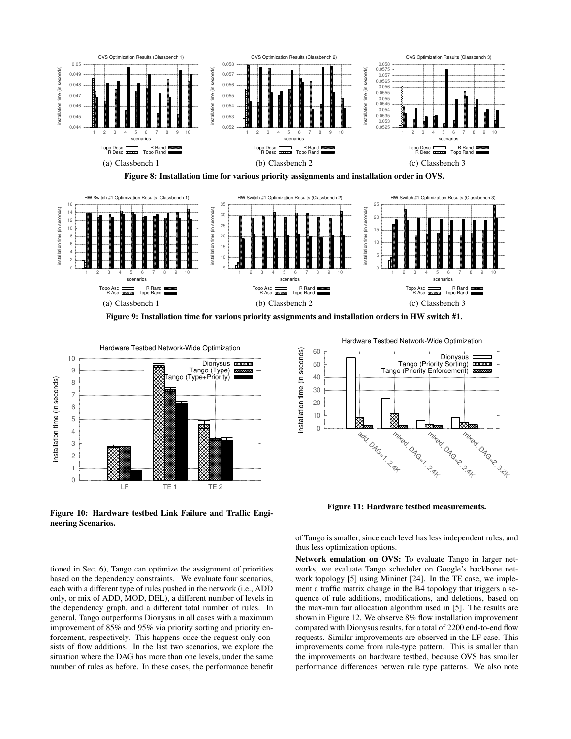

Figure 8: Installation time for various priority assignments and installation order in OVS.



Figure 9: Installation time for various priority assignments and installation orders in HW switch #1.



Figure 10: Hardware testbed Link Failure and Traffic Engineering Scenarios.

tioned in Sec. 6), Tango can optimize the assignment of priorities based on the dependency constraints. We evaluate four scenarios, each with a different type of rules pushed in the network (i.e., ADD only, or mix of ADD, MOD, DEL), a different number of levels in the dependency graph, and a different total number of rules. In general, Tango outperforms Dionysus in all cases with a maximum improvement of 85% and 95% via priority sorting and priority enforcement, respectively. This happens once the request only consists of flow additions. In the last two scenarios, we explore the situation where the DAG has more than one levels, under the same number of rules as before. In these cases, the performance benefit

Hardware Testbed Network-Wide Optimization



Figure 11: Hardware testbed measurements.

of Tango is smaller, since each level has less independent rules, and thus less optimization options.

Network emulation on OVS: To evaluate Tango in larger networks, we evaluate Tango scheduler on Google's backbone network topology [5] using Mininet [24]. In the TE case, we implement a traffic matrix change in the B4 topology that triggers a sequence of rule additions, modifications, and deletions, based on the max-min fair allocation algorithm used in [5]. The results are shown in Figure 12. We observe 8% flow installation improvement compared with Dionysus results, for a total of 2200 end-to-end flow requests. Similar improvements are observed in the LF case. This improvements come from rule-type pattern. This is smaller than the improvements on hardware testbed, because OVS has smaller performance differences betwen rule type patterns. We also note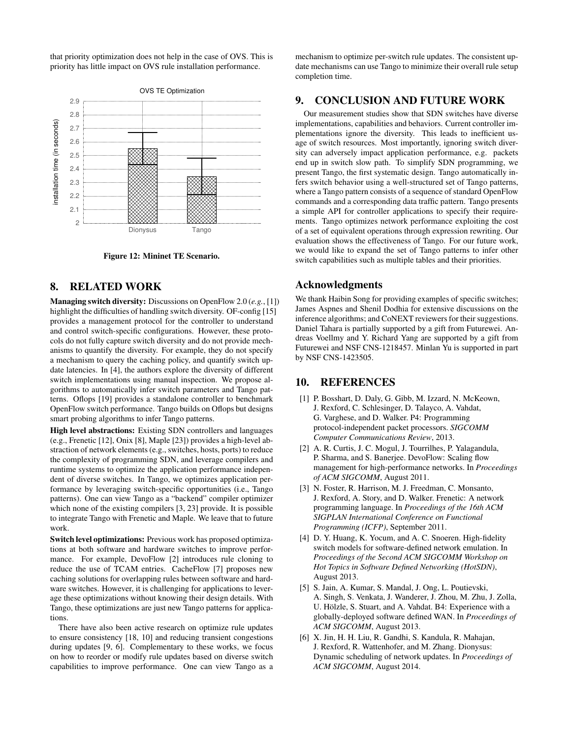that priority optimization does not help in the case of OVS. This is priority has little impact on OVS rule installation performance.



Figure 12: Mininet TE Scenario.

# 8. RELATED WORK

Managing switch diversity: Discussions on OpenFlow 2.0 (*e.g.*, [1]) highlight the difficulties of handling switch diversity. OF-config [15] provides a management protocol for the controller to understand and control switch-specific configurations. However, these protocols do not fully capture switch diversity and do not provide mechanisms to quantify the diversity. For example, they do not specify a mechanism to query the caching policy, and quantify switch update latencies. In [4], the authors explore the diversity of different switch implementations using manual inspection. We propose algorithms to automatically infer switch parameters and Tango patterns. Oflops [19] provides a standalone controller to benchmark OpenFlow switch performance. Tango builds on Oflops but designs smart probing algorithms to infer Tango patterns.

High level abstractions: Existing SDN controllers and languages (e.g., Frenetic [12], Onix [8], Maple [23]) provides a high-level abstraction of network elements (e.g., switches, hosts, ports) to reduce the complexity of programming SDN, and leverage compilers and runtime systems to optimize the application performance independent of diverse switches. In Tango, we optimizes application performance by leveraging switch-specific opportunities (i.e., Tango patterns). One can view Tango as a "backend" compiler optimizer which none of the existing compilers [3, 23] provide. It is possible to integrate Tango with Frenetic and Maple. We leave that to future work.

Switch level optimizations: Previous work has proposed optimizations at both software and hardware switches to improve performance. For example, DevoFlow [2] introduces rule cloning to reduce the use of TCAM entries. CacheFlow [7] proposes new caching solutions for overlapping rules between software and hardware switches. However, it is challenging for applications to leverage these optimizations without knowing their design details. With Tango, these optimizations are just new Tango patterns for applications.

There have also been active research on optimize rule updates to ensure consistency [18, 10] and reducing transient congestions during updates [9, 6]. Complementary to these works, we focus on how to reorder or modify rule updates based on diverse switch capabilities to improve performance. One can view Tango as a mechanism to optimize per-switch rule updates. The consistent update mechanisms can use Tango to minimize their overall rule setup completion time.

## 9. CONCLUSION AND FUTURE WORK

Our measurement studies show that SDN switches have diverse implementations, capabilities and behaviors. Current controller implementations ignore the diversity. This leads to inefficient usage of switch resources. Most importantly, ignoring switch diversity can adversely impact application performance, e.g. packets end up in switch slow path. To simplify SDN programming, we present Tango, the first systematic design. Tango automatically infers switch behavior using a well-structured set of Tango patterns, where a Tango pattern consists of a sequence of standard OpenFlow commands and a corresponding data traffic pattern. Tango presents a simple API for controller applications to specify their requirements. Tango optimizes network performance exploiting the cost of a set of equivalent operations through expression rewriting. Our evaluation shows the effectiveness of Tango. For our future work, we would like to expand the set of Tango patterns to infer other switch capabilities such as multiple tables and their priorities.

# Acknowledgments

We thank Haibin Song for providing examples of specific switches; James Aspnes and Shenil Dodhia for extensive discussions on the inference algorithms; and CoNEXT reviewers for their suggestions. Daniel Tahara is partially supported by a gift from Futurewei. Andreas Voellmy and Y. Richard Yang are supported by a gift from Futurewei and NSF CNS-1218457. Minlan Yu is supported in part by NSF CNS-1423505.

# 10. REFERENCES

- [1] P. Bosshart, D. Daly, G. Gibb, M. Izzard, N. McKeown, J. Rexford, C. Schlesinger, D. Talayco, A. Vahdat, G. Varghese, and D. Walker. P4: Programming protocol-independent packet processors. *SIGCOMM Computer Communications Review*, 2013.
- [2] A. R. Curtis, J. C. Mogul, J. Tourrilhes, P. Yalagandula, P. Sharma, and S. Banerjee. DevoFlow: Scaling flow management for high-performance networks. In *Proceedings of ACM SIGCOMM*, August 2011.
- [3] N. Foster, R. Harrison, M. J. Freedman, C. Monsanto, J. Rexford, A. Story, and D. Walker. Frenetic: A network programming language. In *Proceedings of the 16th ACM SIGPLAN International Conference on Functional Programming (ICFP)*, September 2011.
- [4] D. Y. Huang, K. Yocum, and A. C. Snoeren. High-fidelity switch models for software-defined network emulation. In *Proceedings of the Second ACM SIGCOMM Workshop on Hot Topics in Software Defined Networking (HotSDN)*, August 2013.
- [5] S. Jain, A. Kumar, S. Mandal, J. Ong, L. Poutievski, A. Singh, S. Venkata, J. Wanderer, J. Zhou, M. Zhu, J. Zolla, U. Hölzle, S. Stuart, and A. Vahdat. B4: Experience with a globally-deployed software defined WAN. In *Proceedings of ACM SIGCOMM*, August 2013.
- [6] X. Jin, H. H. Liu, R. Gandhi, S. Kandula, R. Mahajan, J. Rexford, R. Wattenhofer, and M. Zhang. Dionysus: Dynamic scheduling of network updates. In *Proceedings of ACM SIGCOMM*, August 2014.